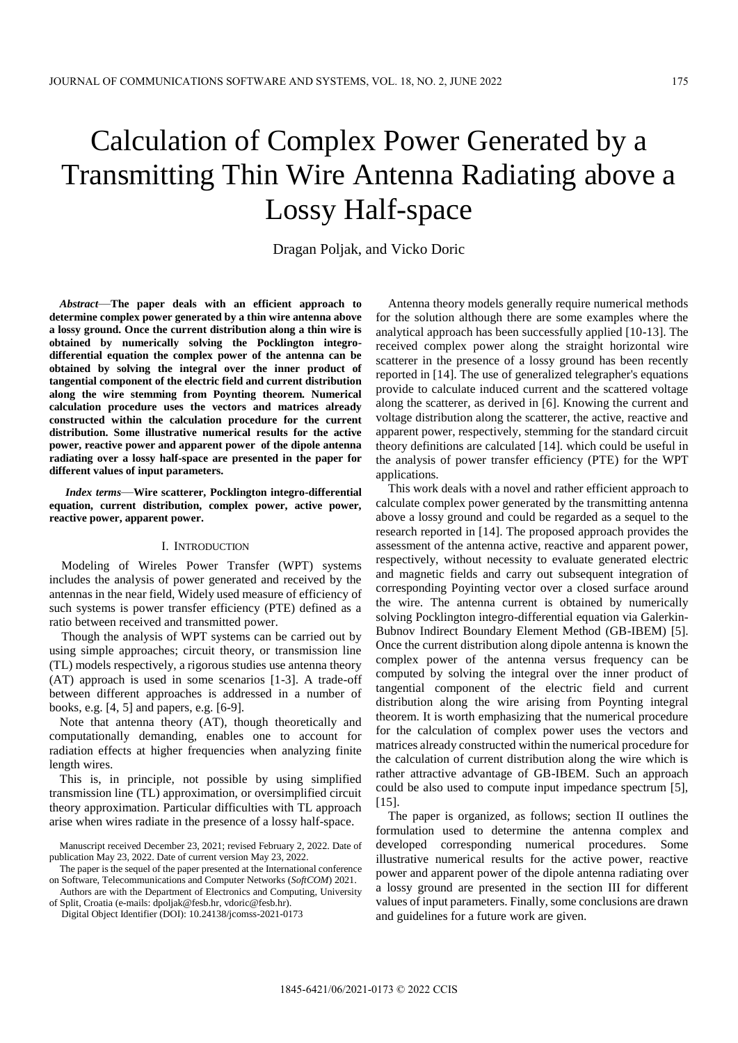# Calculation of Complex Power Generated by a Transmitting Thin Wire Antenna Radiating above a Lossy Half-space

Dragan Poljak, and Vicko Doric

*Abstract*—**The paper deals with an efficient approach to determine complex power generated by a thin wire antenna above a lossy ground. Once the current distribution along a thin wire is obtained by numerically solving the Pocklington integrodifferential equation the complex power of the antenna can be obtained by solving the integral over the inner product of tangential component of the electric field and current distribution along the wire stemming from Poynting theorem. Numerical calculation procedure uses the vectors and matrices already constructed within the calculation procedure for the current distribution. Some illustrative numerical results for the active power, reactive power and apparent power of the dipole antenna radiating over a lossy half-space are presented in the paper for different values of input parameters.**

 *Index terms*—**Wire scatterer, Pocklington integro-differential equation, current distribution, complex power, active power, reactive power, apparent power.**

#### I. INTRODUCTION

Modeling of Wireles Power Transfer (WPT) systems includes the analysis of power generated and received by the antennas in the near field, Widely used measure of efficiency of such systems is power transfer efficiency (PTE) defined as a ratio between received and transmitted power.

Though the analysis of WPT systems can be carried out by using simple approaches; circuit theory, or transmission line (TL) models respectively, a rigorous studies use antenna theory (AT) approach is used in some scenarios [1-3]. A trade-off between different approaches is addressed in a number of books, e.g. [4, 5] and papers, e.g. [6-9].

Note that antenna theory (AT), though theoretically and computationally demanding, enables one to account for radiation effects at higher frequencies when analyzing finite length wires.

This is, in principle, not possible by using simplified transmission line (TL) approximation, or oversimplified circuit theory approximation. Particular difficulties with TL approach arise when wires radiate in the presence of a lossy half-space.

The paper is the sequel of the paper presented at the International conference on Software, Telecommunications and Computer Networks (*SoftCOM*) 2021.

Authors are with the Department of Electronics and Computing, University of Split, Croatia (e-mails[: dpoljak@fesb.hr,](mailto:dpoljak@fesb.hr) vdoric@fesb.hr).

Antenna theory models generally require numerical methods for the solution although there are some examples where the analytical approach has been successfully applied [10-13]. The received complex power along the straight horizontal wire scatterer in the presence of a lossy ground has been recently reported in [14]. The use of generalized telegrapher's equations provide to calculate induced current and the scattered voltage along the scatterer, as derived in [6]. Knowing the current and voltage distribution along the scatterer, the active, reactive and apparent power, respectively, stemming for the standard circuit theory definitions are calculated [14]. which could be useful in the analysis of power transfer efficiency (PTE) for the WPT applications.

This work deals with a novel and rather efficient approach to calculate complex power generated by the transmitting antenna above a lossy ground and could be regarded as a sequel to the research reported in [14]. The proposed approach provides the assessment of the antenna active, reactive and apparent power, respectively, without necessity to evaluate generated electric and magnetic fields and carry out subsequent integration of corresponding Poyinting vector over a closed surface around the wire. The antenna current is obtained by numerically solving Pocklington integro-differential equation via Galerkin-Bubnov Indirect Boundary Element Method (GB-IBEM) [5]. Once the current distribution along dipole antenna is known the complex power of the antenna versus frequency can be computed by solving the integral over the inner product of tangential component of the electric field and current distribution along the wire arising from Poynting integral theorem. It is worth emphasizing that the numerical procedure for the calculation of complex power uses the vectors and matrices already constructed within the numerical procedure for the calculation of current distribution along the wire which is rather attractive advantage of GB-IBEM. Such an approach could be also used to compute input impedance spectrum [5], [15].

The paper is organized, as follows; section II outlines the formulation used to determine the antenna complex and developed corresponding numerical procedures. Some illustrative numerical results for the active power, reactive power and apparent power of the dipole antenna radiating over a lossy ground are presented in the section III for different values of input parameters. Finally, some conclusions are drawn and guidelines for a future work are given.

Manuscript received December 23, 2021; revised February 2, 2022. Date of publication May 23, 2022. Date of current version May 23, 2022.

Digital Object Identifier (DOI): 10.24138/jcomss-2021-0173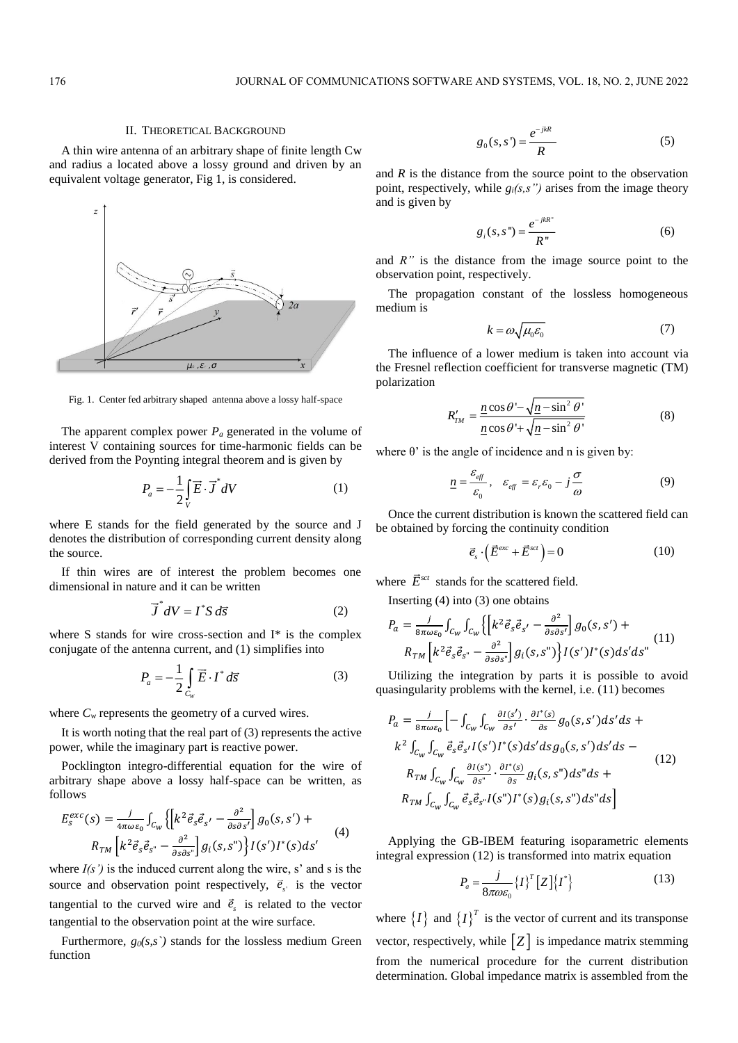### II. THEORETICAL BACKGROUND

A thin wire antenna of an arbitrary shape of finite length Cw and radius a located above a lossy ground and driven by an equivalent voltage generator, Fig 1, is considered.



Fig. 1. Center fed arbitrary shaped antenna above a lossy half-space

The apparent complex power *P<sup>a</sup>* generated in the volume of interest V containing sources for time-harmonic fields can be derived from the Poynting integral theorem and is given by

$$
P_a = -\frac{1}{2} \int\limits_V \vec{E} \cdot \vec{J}^* dV \tag{1}
$$

where E stands for the field generated by the source and J denotes the distribution of corresponding current density along the source.

If thin wires are of interest the problem becomes one dimensional in nature and it can be written

$$
\vec{J} \ dV = I^* S \ d\vec{s} \tag{2}
$$

where S stands for wire cross-section and I\* is the complex conjugate of the antenna current, and (1) simplifies into

$$
P_a = -\frac{1}{2} \int\limits_{C_W} \vec{E} \cdot I^* d\vec{s} \tag{3}
$$

where  $C_w$  represents the geometry of a curved wires.

It is worth noting that the real part of (3) represents the active power, while the imaginary part is reactive power.

Pocklington integro-differential equation for the wire of arbitrary shape above a lossy half-space can be written, as follows

$$
E_{S}^{exc}(s) = \frac{j}{4\pi\omega\varepsilon_{0}} \int_{C_{W}} \left\{ \left[ k^{2} \vec{e}_{s} \vec{e}_{s'} - \frac{\partial^{2}}{\partial s \partial s'} \right] g_{0}(s, s') + R_{TM} \left[ k^{2} \vec{e}_{s} \vec{e}_{s''} - \frac{\partial^{2}}{\partial s \partial s''} \right] g_{i}(s, s'') \right\} I(s') I^{*}(s) ds' \tag{4}
$$

where  $I(s')$  is the induced current along the wire, s' and s is the source and observation point respectively,  $\vec{e}_s$  is the vector tangential to the curved wire and  $\vec{e}_s$  is related to the vector tangential to the observation point at the wire surface.

Furthermore,  $g_0(s,s)$  stands for the lossless medium Green function

$$
g_0(s,s') = \frac{e^{-j k R}}{R} \tag{5}
$$

and *R* is the distance from the source point to the observation point, respectively, while  $g_i(s, s'')$  arises from the image theory and is given by

$$
g_i(s, s") = \frac{e^{-j k R^*}}{R^*}
$$
 (6)

and *R"* is the distance from the image source point to the observation point, respectively.

The propagation constant of the lossless homogeneous medium is

$$
k = \omega \sqrt{\mu_0 \varepsilon_0} \tag{7}
$$

The influence of a lower medium is taken into account via the Fresnel reflection coefficient for transverse magnetic (TM) polarization

$$
R'_{TM} = \frac{\underline{n}\cos\theta - \sqrt{\underline{n} - \sin^2\theta}}{\underline{n}\cos\theta + \sqrt{\underline{n} - \sin^2\theta}}\tag{8}
$$

where  $\theta$ ' is the angle of incidence and n is given by:

$$
\underline{n} = \frac{\varepsilon_{\text{eff}}}{\varepsilon_0}, \quad \varepsilon_{\text{eff}} = \varepsilon_r \varepsilon_0 - j \frac{\sigma}{\omega} \tag{9}
$$

Once the current distribution is known the scattered field can be obtained by forcing the continuity condition

$$
\vec{e}_s \cdot (\vec{E}^{exc} + \vec{E}^{sct}) = 0 \tag{10}
$$

where  $E^{sct}$  stands for the scattered field.

Inserting (4) into (3) one obtains

$$
P_a = \frac{j}{8\pi\omega\varepsilon_0} \int_{C_W} \int_{C_W} \left\{ \left[ k^2 \vec{e}_s \vec{e}_{s'} - \frac{\partial^2}{\partial s \partial s'} \right] g_0(s, s') + R_{TM} \left[ k^2 \vec{e}_s \vec{e}_{s''} - \frac{\partial^2}{\partial s \partial s''} \right] g_i(s, s'') \right\} I(s') I^*(s) ds' ds'' \tag{11}
$$

Utilizing the integration by parts it is possible to avoid quasingularity problems with the kernel, i.e. (11) becomes

$$
P_a = \frac{j}{8\pi\omega\varepsilon_0} \Big[ - \int_{C_W} \int_{C_W} \frac{\partial I(s')}{\partial s'} \cdot \frac{\partial I^*(s)}{\partial s} g_0(s, s') ds' ds +
$$
  
\n
$$
k^2 \int_{C_W} \int_{C_W} \vec{e}_s \vec{e}_{s'} I(s') I^*(s) ds' ds g_0(s, s') ds' ds -
$$
  
\n
$$
R_{TM} \int_{C_W} \int_{C_W} \frac{\partial I(s'')}{\partial s'} \cdot \frac{\partial I^*(s)}{\partial s} g_i(s, s'') ds'' ds +
$$
  
\n
$$
R_{TM} \int_{C_W} \int_{C_W} \vec{e}_s \vec{e}_{s'} I(s'') I^*(s) g_i(s, s'') ds'' ds \Big]
$$
\n(12)

Applying the GB-IBEM featuring isoparametric elements integral expression (12) is transformed into matrix equation

$$
P_a = \frac{j}{8\pi\omega\epsilon_0} \{I\}^T [Z] \{I^*\}
$$
 (13)

where  $\{I\}$  and  $\{I\}^T$  is the vector of current and its transponse vector, respectively, while  $\begin{bmatrix} Z \end{bmatrix}$  is impedance matrix stemming from the numerical procedure for the current distribution determination. Global impedance matrix is assembled from the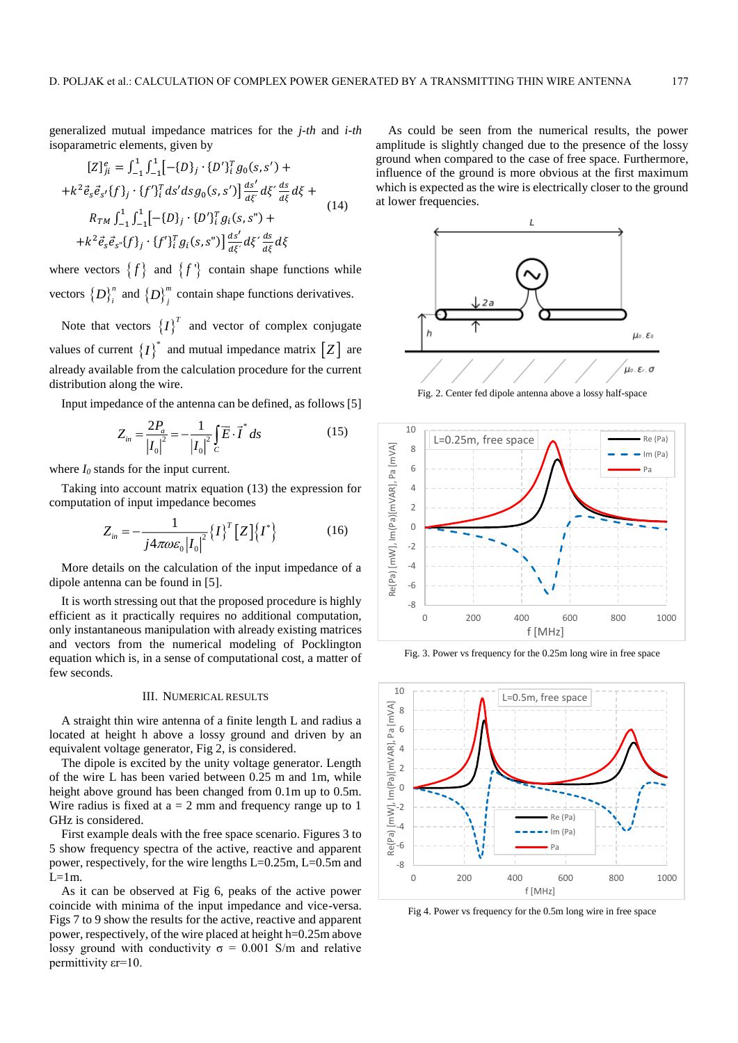generalized mutual impedance matrices for the *j-th* and *i-th* isoparametric elements, given by

$$
[Z]_{ji}^{e} = \int_{-1}^{1} \int_{-1}^{1} [-\{D\}_{j} \cdot \{D'\}_{i}^{T} g_{0}(s, s') +
$$
  
+  $k^{2} \vec{e}_{s} \vec{e}_{s'} \{f\}_{j} \cdot \{f'\}_{i}^{T} ds' ds g_{0}(s, s') \frac{ds'}{d\xi'} d\xi' \frac{ds}{d\xi} d\xi +$   
 $R_{TM} \int_{-1}^{1} \int_{-1}^{1} [-\{D\}_{j} \cdot \{D'\}_{i}^{T} g_{i}(s, s'') +$   
+  $k^{2} \vec{e}_{s} \vec{e}_{s''} \{f\}_{j} \cdot \{f'\}_{i}^{T} g_{i}(s, s'') \frac{ds'}{d\xi'} d\xi' \frac{ds}{d\xi} d\xi$  (14)

where vectors  $\{f\}$  and  $\{f\}$  contain shape functions while vectors  $\{D\}^{n}_{i}$  and  $\{D\}^{m}_{j}$  contain shape functions derivatives.

Note that vectors  $\{I\}^T$  and vector of complex conjugate values of current  $\{I\}^*$  and mutual impedance matrix  $[Z]$  are already available from the calculation procedure for the current distribution along the wire.

Input impedance of the antenna can be defined, as follows [5]

$$
Z_{in} = \frac{2P_a}{|I_0|^2} = -\frac{1}{|I_0|^2} \int_C \vec{E} \cdot \vec{I}^* ds
$$
 (15)

where  $I_0$  stands for the input current.

Taking into account matrix equation (13) the expression for computation of input impedance becomes

$$
Z_{in} = -\frac{1}{j4\pi\omega\varepsilon_0|I_0|^2} \{I\}^T \left[Z\right] \{I^*\}
$$
 (16)

More details on the calculation of the input impedance of a dipole antenna can be found in [5].

It is worth stressing out that the proposed procedure is highly efficient as it practically requires no additional computation, only instantaneous manipulation with already existing matrices and vectors from the numerical modeling of Pocklington equation which is, in a sense of computational cost, a matter of few seconds.

# III. NUMERICAL RESULTS

A straight thin wire antenna of a finite length L and radius a located at height h above a lossy ground and driven by an equivalent voltage generator, Fig 2, is considered.

The dipole is excited by the unity voltage generator. Length of the wire L has been varied between 0.25 m and 1m, while height above ground has been changed from 0.1m up to 0.5m. Wire radius is fixed at  $a = 2$  mm and frequency range up to 1 GHz is considered.

First example deals with the free space scenario. Figures 3 to 5 show frequency spectra of the active, reactive and apparent power, respectively, for the wire lengths L=0.25m, L=0.5m and  $L=1m$ .

As it can be observed at Fig 6, peaks of the active power coincide with minima of the input impedance and vice-versa. Figs 7 to 9 show the results for the active, reactive and apparent power, respectively, of the wire placed at height h=0.25m above lossy ground with conductivity  $\sigma = 0.001$  S/m and relative permittivity εr=10.

As could be seen from the numerical results, the power amplitude is slightly changed due to the presence of the lossy ground when compared to the case of free space. Furthermore, influence of the ground is more obvious at the first maximum which is expected as the wire is electrically closer to the ground at lower frequencies.



Fig. 2. Center fed dipole antenna above a lossy half-space



Fig. 3. Power vs frequency for the 0.25m long wire in free space



Fig 4. Power vs frequency for the 0.5m long wire in free space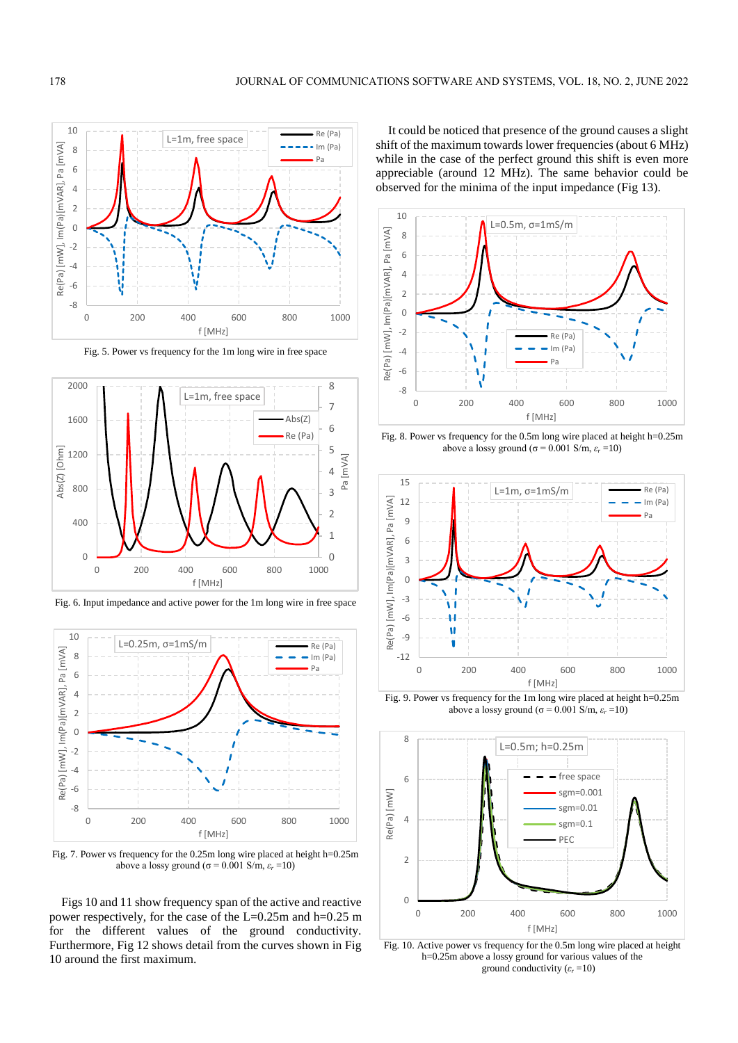

Fig. 5. Power vs frequency for the 1m long wire in free space



Fig. 6. Input impedance and active power for the 1m long wire in free space



Fig. 7. Power vs frequency for the 0.25m long wire placed at height h=0.25m above a lossy ground ( $\sigma$  = 0.001 S/m,  $\varepsilon$ <sup>*r*</sup> =10)

Figs 10 and 11 show frequency span of the active and reactive power respectively, for the case of the L=0.25m and h=0.25 m for the different values of the ground conductivity. Furthermore, Fig 12 shows detail from the curves shown in Fig 10 around the first maximum.

It could be noticed that presence of the ground causes a slight shift of the maximum towards lower frequencies (about 6 MHz) while in the case of the perfect ground this shift is even more appreciable (around 12 MHz). The same behavior could be observed for the minima of the input impedance (Fig 13).



Fig. 8. Power vs frequency for the 0.5m long wire placed at height h=0.25m above a lossy ground ( $\sigma$  = 0.001 S/m,  $\varepsilon$ <sub>*r*</sub> =10)</sub>



Fig. 9. Power vs frequency for the 1m long wire placed at height h=0.25m above a lossy ground ( $\sigma$  = 0.001 S/m,  $\varepsilon$ <sub>*r*</sub> =10)



Fig. 10. Active power vs frequency for the 0.5m long wire placed at height h=0.25m above a lossy ground for various values of the ground conductivity  $(\varepsilon_r = 10)$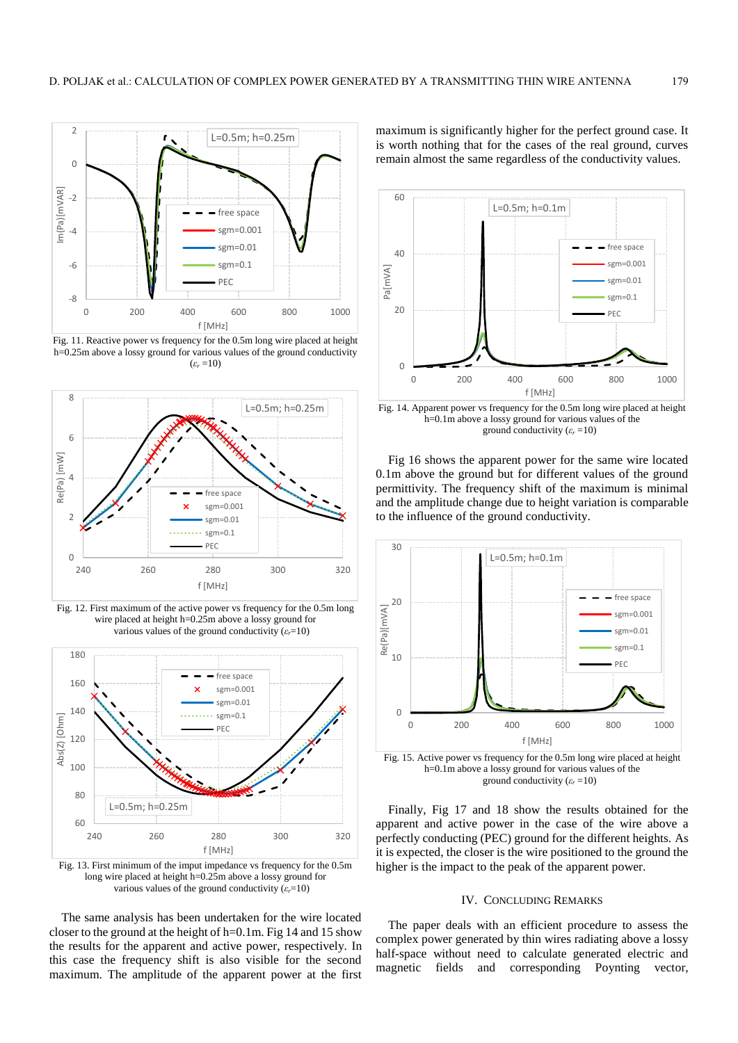

Fig. 11. Reactive power vs frequency for the 0.5m long wire placed at height h=0.25m above a lossy ground for various values of the ground conductivity  $(\varepsilon_r = 10)$ 



Fig. 12. First maximum of the active power vs frequency for the 0.5m long wire placed at height h=0.25m above a lossy ground for various values of the ground conductivity  $(\varepsilon_r=10)$ 



Fig. 13. First minimum of the imput impedance vs frequency for the 0.5m long wire placed at height h=0.25m above a lossy ground for various values of the ground conductivity  $(\varepsilon_r=10)$ 

The same analysis has been undertaken for the wire located closer to the ground at the height of h=0.1m. Fig 14 and 15 show the results for the apparent and active power, respectively. In this case the frequency shift is also visible for the second maximum. The amplitude of the apparent power at the first

maximum is significantly higher for the perfect ground case. It is worth nothing that for the cases of the real ground, curves remain almost the same regardless of the conductivity values.



Fig. 14. Apparent power vs frequency for the 0.5m long wire placed at height h=0.1m above a lossy ground for various values of the ground conductivity  $(\varepsilon_r = 10)$ 

Fig 16 shows the apparent power for the same wire located 0.1m above the ground but for different values of the ground permittivity. The frequency shift of the maximum is minimal and the amplitude change due to height variation is comparable to the influence of the ground conductivity.



Fig. 15. Active power vs frequency for the 0.5m long wire placed at height h=0.1m above a lossy ground for various values of the ground conductivity  $(\varepsilon_r = 10)$ 

Finally, Fig 17 and 18 show the results obtained for the apparent and active power in the case of the wire above a perfectly conducting (PEC) ground for the different heights. As it is expected, the closer is the wire positioned to the ground the higher is the impact to the peak of the apparent power.

# IV. CONCLUDING REMARKS

The paper deals with an efficient procedure to assess the complex power generated by thin wires radiating above a lossy half-space without need to calculate generated electric and magnetic fields and corresponding Poynting vector,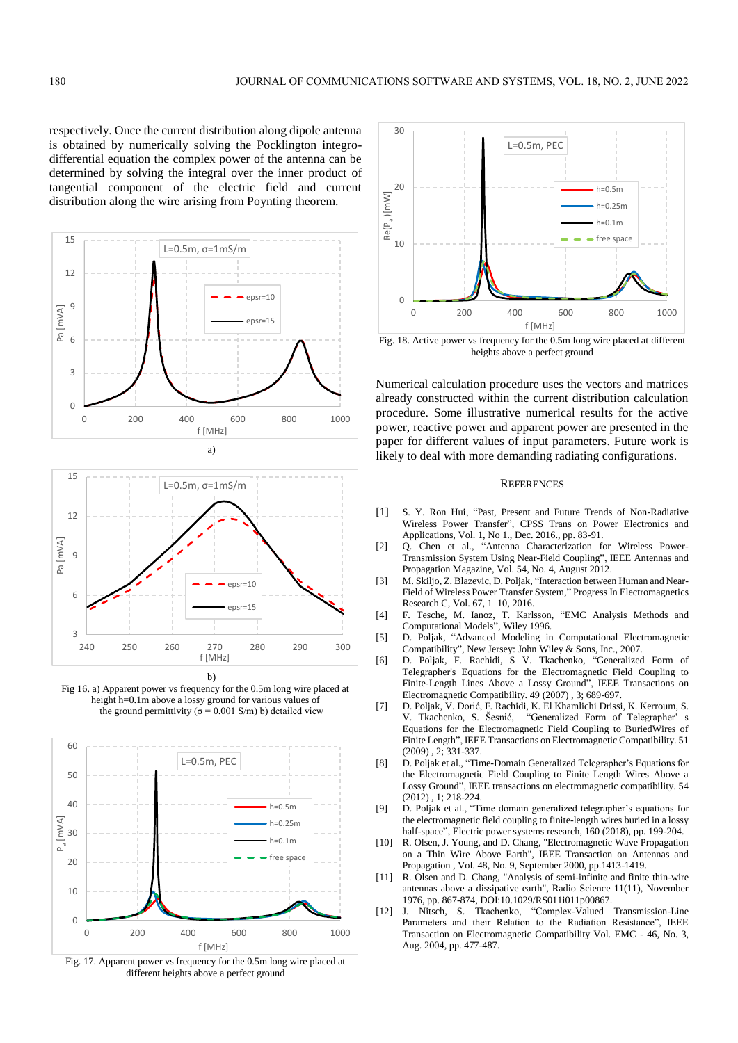respectively. Once the current distribution along dipole antenna is obtained by numerically solving the Pocklington integrodifferential equation the complex power of the antenna can be determined by solving the integral over the inner product of tangential component of the electric field and current distribution along the wire arising from Poynting theorem.





Fig 16. a) Apparent power vs frequency for the 0.5m long wire placed at height h=0.1m above a lossy ground for various values of the ground permittivity ( $\sigma$  = 0.001 S/m) b) detailed view



Fig. 17. Apparent power vs frequency for the 0.5m long wire placed at different heights above a perfect ground



heights above a perfect ground

Numerical calculation procedure uses the vectors and matrices already constructed within the current distribution calculation procedure. Some illustrative numerical results for the active power, reactive power and apparent power are presented in the paper for different values of input parameters. Future work is likely to deal with more demanding radiating configurations.

# **REFERENCES**

- [1] S. Y. Ron Hui, "Past, Present and Future Trends of Non-Radiative Wireless Power Transfer", CPSS Trans on Power Electronics and Applications, Vol. 1, No 1., Dec. 2016., pp. 83-91.
- [2] Q. Chen et al., "Antenna Characterization for Wireless Power-Transmission System Using Near-Field Coupling", IEEE Antennas and Propagation Magazine, Vol. 54, No. 4, August 2012.
- [3] M. Skiljo, Z. Blazevic, D. Poljak, "Interaction between Human and Near-Field of Wireless Power Transfer System," Progress In Electromagnetics Research C, Vol. 67, 1–10, 2016.
- [4] F. Tesche, M. Ianoz, T. Karlsson, "EMC Analysis Methods and Computational Models", Wiley 1996.
- [5] D. Poljak, "Advanced Modeling in Computational Electromagnetic Compatibility", New Jersey: John Wiley & Sons, Inc., 2007.
- [6] D. Poljak, F. Rachidi, S V. Tkachenko, "Generalized Form of Telegrapher's Equations for the Electromagnetic Field Coupling to Finite-Length Lines Above a Lossy Ground", IEEE Transactions on Electromagnetic Compatibility. 49 (2007) , 3; 689-697.
- [7] D. Poljak, V. Dorić, F. Rachidi, K. El Khamlichi Drissi, K. Kerroum, S. V. Tkachenko, S. Šesnić, "Generalized Form of Telegrapher' s Equations for the Electromagnetic Field Coupling to BuriedWires of Finite Length", IEEE Transactions on Electromagnetic Compatibility. 51 (2009) , 2; 331-337.
- [8] D. Poljak et al., "Time-Domain Generalized Telegrapher's Equations for the Electromagnetic Field Coupling to Finite Length Wires Above a Lossy Ground", IEEE transactions on electromagnetic compatibility. 54  $(2012)$ , 1: 218-224.
- [9] D. Poljak et al., "Time domain generalized telegrapher's equations for the electromagnetic field coupling to finite-length wires buried in a lossy half-space", Electric power systems research, 160 (2018), pp. 199-204.
- [10] R. Olsen, J. Young, and D. Chang, "Electromagnetic Wave Propagation on a Thin Wire Above Earth", IEEE Transaction on Antennas and Propagation , Vol. 48, No. 9, September 2000, pp.1413-1419.
- [11] R. Olsen and D. Chang, "Analysis of semi-infinite and finite thin-wire antennas above a dissipative earth", Radio Science 11(11), November 1976, pp. 867-874, DOI:10.1029/RS011i011p00867.
- [12] J. Nitsch, S. Tkachenko, "Complex-Valued Transmission-Line Parameters and their Relation to the Radiation Resistance", IEEE Transaction on Electromagnetic Compatibility Vol. EMC - 46, No. 3, Aug. 2004, pp. 477-487.